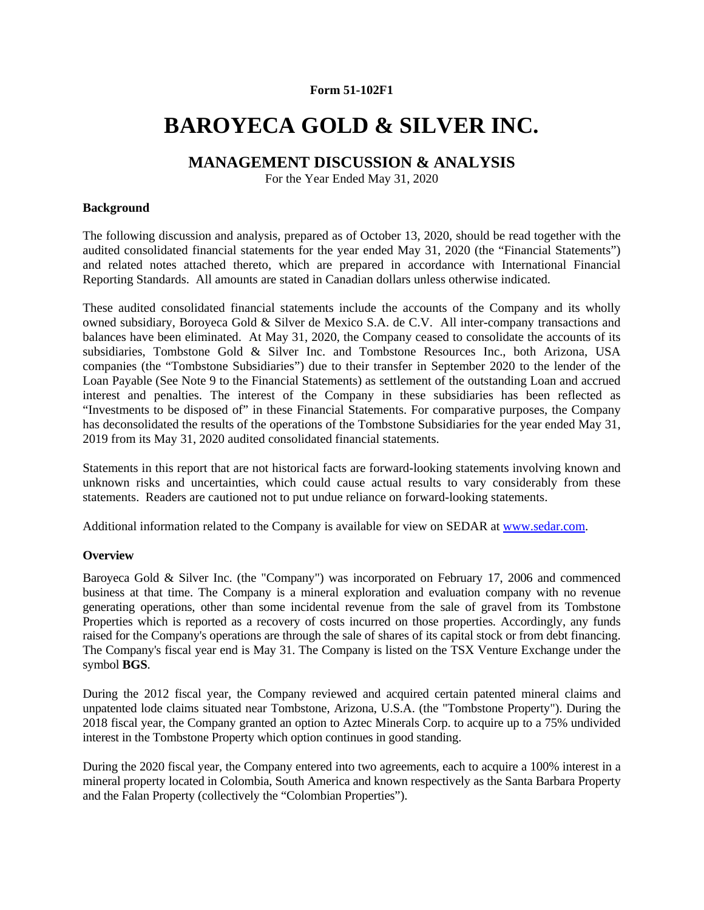## **Form 51-102F1**

# **BAROYECA GOLD & SILVER INC.**

# **MANAGEMENT DISCUSSION & ANALYSIS**

For the Year Ended May 31, 2020

## **Background**

The following discussion and analysis, prepared as of October 13, 2020, should be read together with the audited consolidated financial statements for the year ended May 31, 2020 (the "Financial Statements") and related notes attached thereto, which are prepared in accordance with International Financial Reporting Standards. All amounts are stated in Canadian dollars unless otherwise indicated.

These audited consolidated financial statements include the accounts of the Company and its wholly owned subsidiary, Boroyeca Gold & Silver de Mexico S.A. de C.V. All inter-company transactions and balances have been eliminated. At May 31, 2020, the Company ceased to consolidate the accounts of its subsidiaries, Tombstone Gold & Silver Inc. and Tombstone Resources Inc., both Arizona, USA companies (the "Tombstone Subsidiaries") due to their transfer in September 2020 to the lender of the Loan Payable (See Note 9 to the Financial Statements) as settlement of the outstanding Loan and accrued interest and penalties. The interest of the Company in these subsidiaries has been reflected as "Investments to be disposed of" in these Financial Statements. For comparative purposes, the Company has deconsolidated the results of the operations of the Tombstone Subsidiaries for the year ended May 31, 2019 from its May 31, 2020 audited consolidated financial statements.

Statements in this report that are not historical facts are forward-looking statements involving known and unknown risks and uncertainties, which could cause actual results to vary considerably from these statements. Readers are cautioned not to put undue reliance on forward-looking statements.

Additional information related to the Company is available for view on SEDAR at www.sedar.com.

## **Overview**

Baroyeca Gold & Silver Inc. (the "Company") was incorporated on February 17, 2006 and commenced business at that time. The Company is a mineral exploration and evaluation company with no revenue generating operations, other than some incidental revenue from the sale of gravel from its Tombstone Properties which is reported as a recovery of costs incurred on those properties. Accordingly, any funds raised for the Company's operations are through the sale of shares of its capital stock or from debt financing. The Company's fiscal year end is May 31. The Company is listed on the TSX Venture Exchange under the symbol **BGS**.

During the 2012 fiscal year, the Company reviewed and acquired certain patented mineral claims and unpatented lode claims situated near Tombstone, Arizona, U.S.A. (the "Tombstone Property"). During the 2018 fiscal year, the Company granted an option to Aztec Minerals Corp. to acquire up to a 75% undivided interest in the Tombstone Property which option continues in good standing.

During the 2020 fiscal year, the Company entered into two agreements, each to acquire a 100% interest in a mineral property located in Colombia, South America and known respectively as the Santa Barbara Property and the Falan Property (collectively the "Colombian Properties").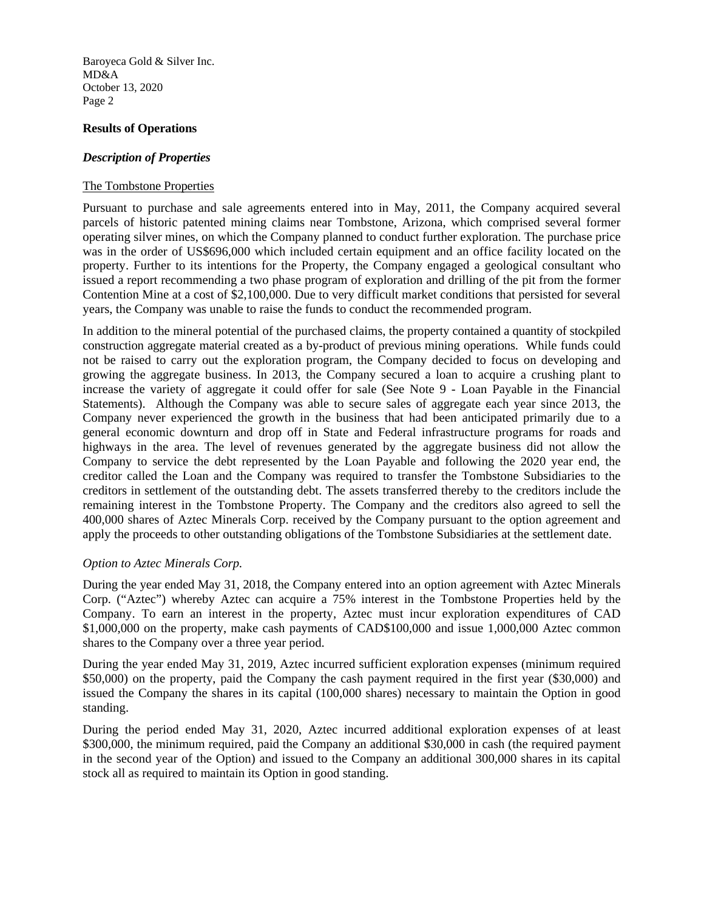#### **Results of Operations**

## *Description of Properties*

## The Tombstone Properties

Pursuant to purchase and sale agreements entered into in May, 2011, the Company acquired several parcels of historic patented mining claims near Tombstone, Arizona, which comprised several former operating silver mines, on which the Company planned to conduct further exploration. The purchase price was in the order of US\$696,000 which included certain equipment and an office facility located on the property. Further to its intentions for the Property, the Company engaged a geological consultant who issued a report recommending a two phase program of exploration and drilling of the pit from the former Contention Mine at a cost of \$2,100,000. Due to very difficult market conditions that persisted for several years, the Company was unable to raise the funds to conduct the recommended program.

In addition to the mineral potential of the purchased claims, the property contained a quantity of stockpiled construction aggregate material created as a by-product of previous mining operations. While funds could not be raised to carry out the exploration program, the Company decided to focus on developing and growing the aggregate business. In 2013, the Company secured a loan to acquire a crushing plant to increase the variety of aggregate it could offer for sale (See Note 9 - Loan Payable in the Financial Statements). Although the Company was able to secure sales of aggregate each year since 2013, the Company never experienced the growth in the business that had been anticipated primarily due to a general economic downturn and drop off in State and Federal infrastructure programs for roads and highways in the area. The level of revenues generated by the aggregate business did not allow the Company to service the debt represented by the Loan Payable and following the 2020 year end, the creditor called the Loan and the Company was required to transfer the Tombstone Subsidiaries to the creditors in settlement of the outstanding debt. The assets transferred thereby to the creditors include the remaining interest in the Tombstone Property. The Company and the creditors also agreed to sell the 400,000 shares of Aztec Minerals Corp. received by the Company pursuant to the option agreement and apply the proceeds to other outstanding obligations of the Tombstone Subsidiaries at the settlement date.

## *Option to Aztec Minerals Corp.*

During the year ended May 31, 2018, the Company entered into an option agreement with Aztec Minerals Corp. ("Aztec") whereby Aztec can acquire a 75% interest in the Tombstone Properties held by the Company. To earn an interest in the property, Aztec must incur exploration expenditures of CAD \$1,000,000 on the property, make cash payments of CAD\$100,000 and issue 1,000,000 Aztec common shares to the Company over a three year period.

During the year ended May 31, 2019, Aztec incurred sufficient exploration expenses (minimum required \$50,000) on the property, paid the Company the cash payment required in the first year (\$30,000) and issued the Company the shares in its capital (100,000 shares) necessary to maintain the Option in good standing.

During the period ended May 31, 2020, Aztec incurred additional exploration expenses of at least \$300,000, the minimum required, paid the Company an additional \$30,000 in cash (the required payment in the second year of the Option) and issued to the Company an additional 300,000 shares in its capital stock all as required to maintain its Option in good standing.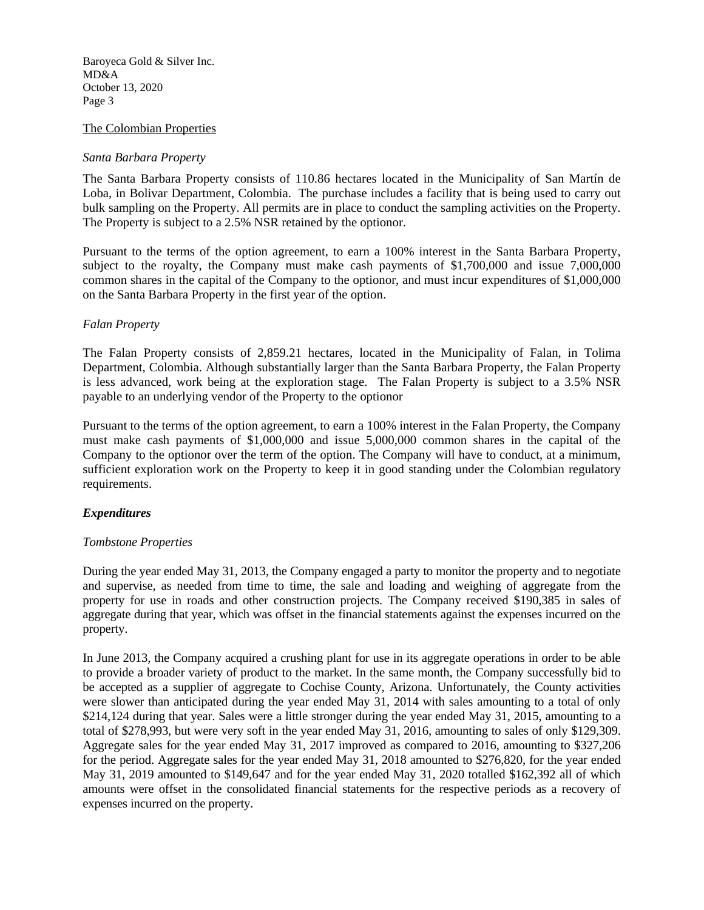#### The Colombian Properties

#### *Santa Barbara Property*

The Santa Barbara Property consists of 110.86 hectares located in the Municipality of San Martín de Loba, in Bolivar Department, Colombia. The purchase includes a facility that is being used to carry out bulk sampling on the Property. All permits are in place to conduct the sampling activities on the Property. The Property is subject to a 2.5% NSR retained by the optionor.

Pursuant to the terms of the option agreement, to earn a 100% interest in the Santa Barbara Property, subject to the royalty, the Company must make cash payments of \$1,700,000 and issue 7,000,000 common shares in the capital of the Company to the optionor, and must incur expenditures of \$1,000,000 on the Santa Barbara Property in the first year of the option.

#### *Falan Property*

The Falan Property consists of 2,859.21 hectares, located in the Municipality of Falan, in Tolima Department, Colombia. Although substantially larger than the Santa Barbara Property, the Falan Property is less advanced, work being at the exploration stage. The Falan Property is subject to a 3.5% NSR payable to an underlying vendor of the Property to the optionor

Pursuant to the terms of the option agreement, to earn a 100% interest in the Falan Property, the Company must make cash payments of \$1,000,000 and issue 5,000,000 common shares in the capital of the Company to the optionor over the term of the option. The Company will have to conduct, at a minimum, sufficient exploration work on the Property to keep it in good standing under the Colombian regulatory requirements.

#### *Expenditures*

#### *Tombstone Properties*

During the year ended May 31, 2013, the Company engaged a party to monitor the property and to negotiate and supervise, as needed from time to time, the sale and loading and weighing of aggregate from the property for use in roads and other construction projects. The Company received \$190,385 in sales of aggregate during that year, which was offset in the financial statements against the expenses incurred on the property.

In June 2013, the Company acquired a crushing plant for use in its aggregate operations in order to be able to provide a broader variety of product to the market. In the same month, the Company successfully bid to be accepted as a supplier of aggregate to Cochise County, Arizona. Unfortunately, the County activities were slower than anticipated during the year ended May 31, 2014 with sales amounting to a total of only \$214,124 during that year. Sales were a little stronger during the year ended May 31, 2015, amounting to a total of \$278,993, but were very soft in the year ended May 31, 2016, amounting to sales of only \$129,309. Aggregate sales for the year ended May 31, 2017 improved as compared to 2016, amounting to \$327,206 for the period. Aggregate sales for the year ended May 31, 2018 amounted to \$276,820, for the year ended May 31, 2019 amounted to \$149,647 and for the year ended May 31, 2020 totalled \$162,392 all of which amounts were offset in the consolidated financial statements for the respective periods as a recovery of expenses incurred on the property.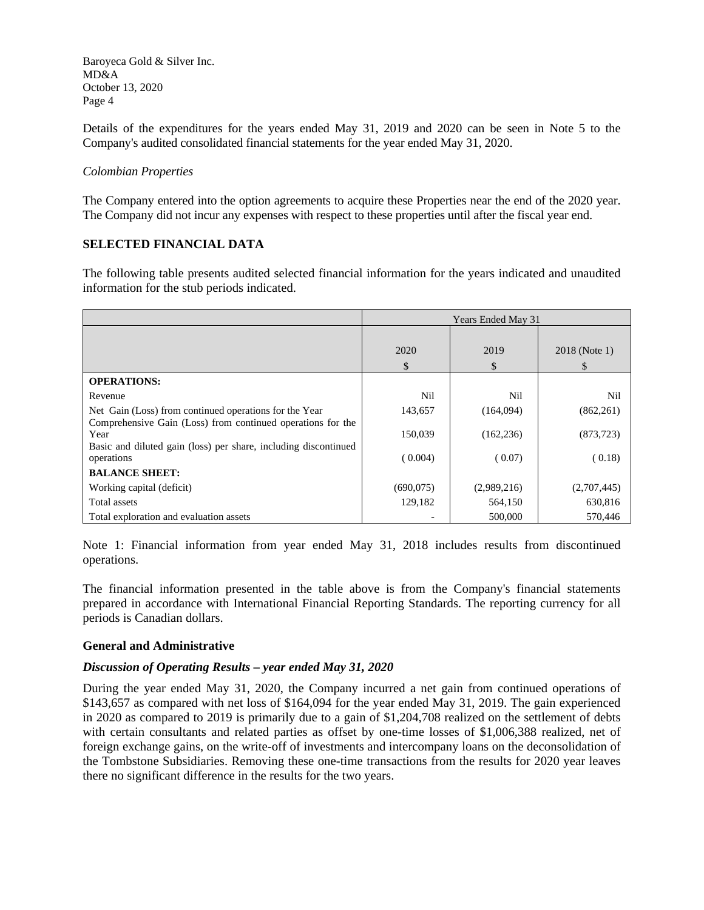Details of the expenditures for the years ended May 31, 2019 and 2020 can be seen in Note 5 to the Company's audited consolidated financial statements for the year ended May 31, 2020.

## *Colombian Properties*

The Company entered into the option agreements to acquire these Properties near the end of the 2020 year. The Company did not incur any expenses with respect to these properties until after the fiscal year end.

## **SELECTED FINANCIAL DATA**

The following table presents audited selected financial information for the years indicated and unaudited information for the stub periods indicated.

|                                                                                                                                        | Years Ended May 31 |             |                    |
|----------------------------------------------------------------------------------------------------------------------------------------|--------------------|-------------|--------------------|
|                                                                                                                                        | 2020<br>\$         | 2019<br>S   | 2018 (Note 1)<br>S |
| <b>OPERATIONS:</b>                                                                                                                     |                    |             |                    |
| Revenue                                                                                                                                | Nil                | Nil         | Nil                |
| Net Gain (Loss) from continued operations for the Year                                                                                 | 143,657            | (164,094)   | (862, 261)         |
| Comprehensive Gain (Loss) from continued operations for the<br>Year<br>Basic and diluted gain (loss) per share, including discontinued | 150,039            | (162, 236)  | (873, 723)         |
| operations                                                                                                                             | (0.004)            | (0.07)      | (0.18)             |
| <b>BALANCE SHEET:</b>                                                                                                                  |                    |             |                    |
| Working capital (deficit)                                                                                                              | (690,075)          | (2,989,216) | (2,707,445)        |
| Total assets                                                                                                                           | 129,182            | 564,150     | 630,816            |
| Total exploration and evaluation assets                                                                                                |                    | 500,000     | 570,446            |

Note 1: Financial information from year ended May 31, 2018 includes results from discontinued operations.

The financial information presented in the table above is from the Company's financial statements prepared in accordance with International Financial Reporting Standards. The reporting currency for all periods is Canadian dollars.

## **General and Administrative**

## *Discussion of Operating Results – year ended May 31, 2020*

During the year ended May 31, 2020, the Company incurred a net gain from continued operations of \$143,657 as compared with net loss of \$164,094 for the year ended May 31, 2019. The gain experienced in 2020 as compared to 2019 is primarily due to a gain of \$1,204,708 realized on the settlement of debts with certain consultants and related parties as offset by one-time losses of \$1,006,388 realized, net of foreign exchange gains, on the write-off of investments and intercompany loans on the deconsolidation of the Tombstone Subsidiaries. Removing these one-time transactions from the results for 2020 year leaves there no significant difference in the results for the two years.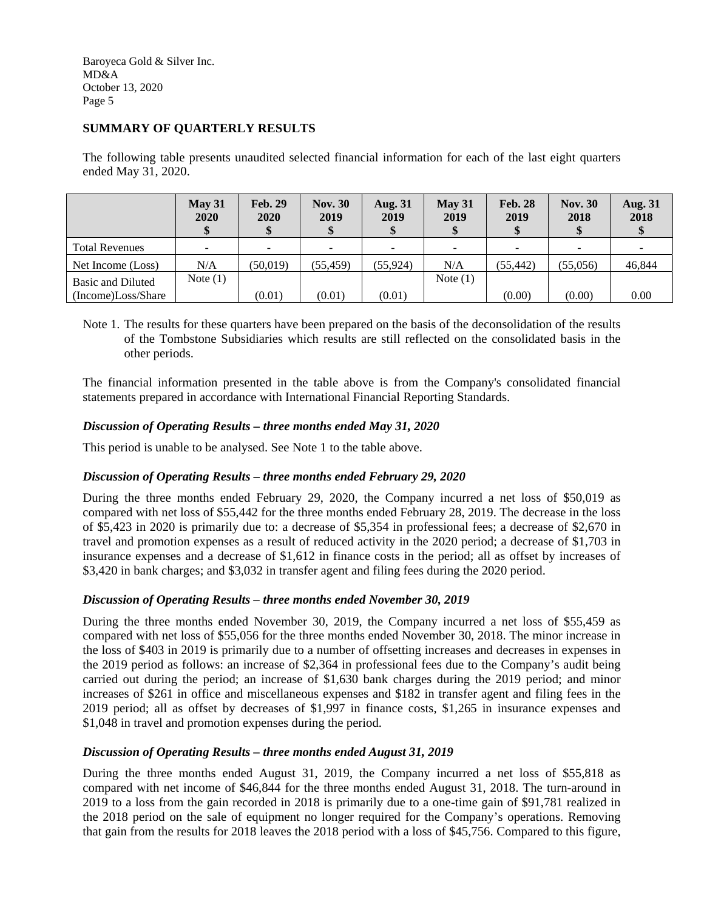## **SUMMARY OF QUARTERLY RESULTS**

The following table presents unaudited selected financial information for each of the last eight quarters ended May 31, 2020.

|                       | May 31<br><b>2020</b> | <b>Feb. 29</b><br>2020 | <b>Nov. 30</b><br>2019 | <b>Aug. 31</b><br>2019   | May 31<br>2019 | <b>Feb. 28</b><br>2019 | <b>Nov. 30</b><br>2018 | <b>Aug. 31</b><br>2018 |
|-----------------------|-----------------------|------------------------|------------------------|--------------------------|----------------|------------------------|------------------------|------------------------|
| <b>Total Revenues</b> | -                     |                        |                        | $\overline{\phantom{a}}$ |                |                        | -                      |                        |
| Net Income (Loss)     | N/A                   | (50,019)               | (55, 459)              | (55, 924)                | N/A            | (55,442)               | (55,056)               | 46,844                 |
| Basic and Diluted     | Note $(1)$            |                        |                        |                          | Note $(1)$     |                        |                        |                        |
| (Income)Loss/Share    |                       | (0.01)                 | (0.01)                 | (0.01)                   |                | (0.00)                 | (0.00)                 | 0.00                   |

Note 1. The results for these quarters have been prepared on the basis of the deconsolidation of the results of the Tombstone Subsidiaries which results are still reflected on the consolidated basis in the other periods.

The financial information presented in the table above is from the Company's consolidated financial statements prepared in accordance with International Financial Reporting Standards.

## *Discussion of Operating Results – three months ended May 31, 2020*

This period is unable to be analysed. See Note 1 to the table above.

## *Discussion of Operating Results – three months ended February 29, 2020*

During the three months ended February 29, 2020, the Company incurred a net loss of \$50,019 as compared with net loss of \$55,442 for the three months ended February 28, 2019. The decrease in the loss of \$5,423 in 2020 is primarily due to: a decrease of \$5,354 in professional fees; a decrease of \$2,670 in travel and promotion expenses as a result of reduced activity in the 2020 period; a decrease of \$1,703 in insurance expenses and a decrease of \$1,612 in finance costs in the period; all as offset by increases of \$3,420 in bank charges; and \$3,032 in transfer agent and filing fees during the 2020 period.

#### *Discussion of Operating Results – three months ended November 30, 2019*

During the three months ended November 30, 2019, the Company incurred a net loss of \$55,459 as compared with net loss of \$55,056 for the three months ended November 30, 2018. The minor increase in the loss of \$403 in 2019 is primarily due to a number of offsetting increases and decreases in expenses in the 2019 period as follows: an increase of \$2,364 in professional fees due to the Company's audit being carried out during the period; an increase of \$1,630 bank charges during the 2019 period; and minor increases of \$261 in office and miscellaneous expenses and \$182 in transfer agent and filing fees in the 2019 period; all as offset by decreases of \$1,997 in finance costs, \$1,265 in insurance expenses and \$1,048 in travel and promotion expenses during the period.

## *Discussion of Operating Results – three months ended August 31, 2019*

During the three months ended August 31, 2019, the Company incurred a net loss of \$55,818 as compared with net income of \$46,844 for the three months ended August 31, 2018. The turn-around in 2019 to a loss from the gain recorded in 2018 is primarily due to a one-time gain of \$91,781 realized in the 2018 period on the sale of equipment no longer required for the Company's operations. Removing that gain from the results for 2018 leaves the 2018 period with a loss of \$45,756. Compared to this figure,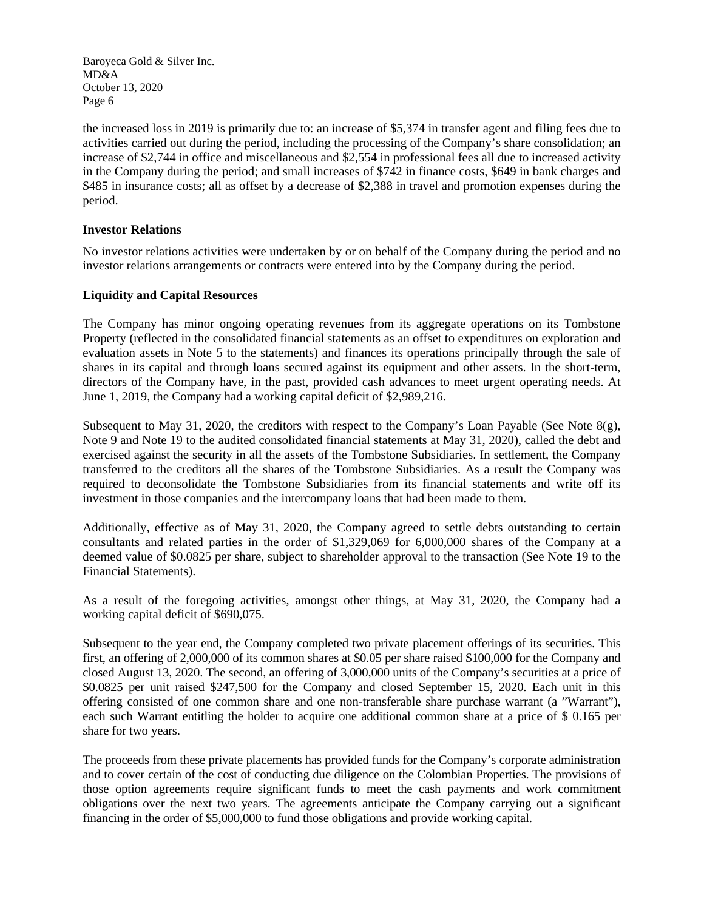the increased loss in 2019 is primarily due to: an increase of \$5,374 in transfer agent and filing fees due to activities carried out during the period, including the processing of the Company's share consolidation; an increase of \$2,744 in office and miscellaneous and \$2,554 in professional fees all due to increased activity in the Company during the period; and small increases of \$742 in finance costs, \$649 in bank charges and \$485 in insurance costs; all as offset by a decrease of \$2,388 in travel and promotion expenses during the period.

## **Investor Relations**

No investor relations activities were undertaken by or on behalf of the Company during the period and no investor relations arrangements or contracts were entered into by the Company during the period.

## **Liquidity and Capital Resources**

The Company has minor ongoing operating revenues from its aggregate operations on its Tombstone Property (reflected in the consolidated financial statements as an offset to expenditures on exploration and evaluation assets in Note 5 to the statements) and finances its operations principally through the sale of shares in its capital and through loans secured against its equipment and other assets. In the short-term, directors of the Company have, in the past, provided cash advances to meet urgent operating needs. At June 1, 2019, the Company had a working capital deficit of \$2,989,216.

Subsequent to May 31, 2020, the creditors with respect to the Company's Loan Payable (See Note  $8(g)$ , Note 9 and Note 19 to the audited consolidated financial statements at May 31, 2020), called the debt and exercised against the security in all the assets of the Tombstone Subsidiaries. In settlement, the Company transferred to the creditors all the shares of the Tombstone Subsidiaries. As a result the Company was required to deconsolidate the Tombstone Subsidiaries from its financial statements and write off its investment in those companies and the intercompany loans that had been made to them.

Additionally, effective as of May 31, 2020, the Company agreed to settle debts outstanding to certain consultants and related parties in the order of \$1,329,069 for 6,000,000 shares of the Company at a deemed value of \$0.0825 per share, subject to shareholder approval to the transaction (See Note 19 to the Financial Statements).

As a result of the foregoing activities, amongst other things, at May 31, 2020, the Company had a working capital deficit of \$690,075.

Subsequent to the year end, the Company completed two private placement offerings of its securities. This first, an offering of 2,000,000 of its common shares at \$0.05 per share raised \$100,000 for the Company and closed August 13, 2020. The second, an offering of 3,000,000 units of the Company's securities at a price of \$0.0825 per unit raised \$247,500 for the Company and closed September 15, 2020. Each unit in this offering consisted of one common share and one non-transferable share purchase warrant (a "Warrant"), each such Warrant entitling the holder to acquire one additional common share at a price of \$ 0.165 per share for two years.

The proceeds from these private placements has provided funds for the Company's corporate administration and to cover certain of the cost of conducting due diligence on the Colombian Properties. The provisions of those option agreements require significant funds to meet the cash payments and work commitment obligations over the next two years. The agreements anticipate the Company carrying out a significant financing in the order of \$5,000,000 to fund those obligations and provide working capital.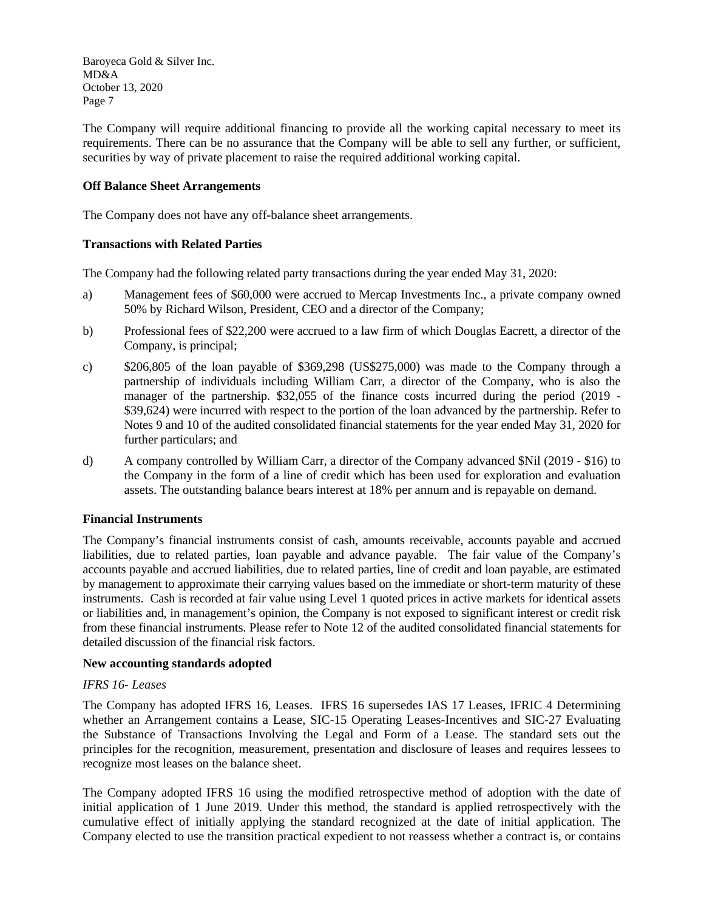The Company will require additional financing to provide all the working capital necessary to meet its requirements. There can be no assurance that the Company will be able to sell any further, or sufficient, securities by way of private placement to raise the required additional working capital.

## **Off Balance Sheet Arrangements**

The Company does not have any off-balance sheet arrangements.

## **Transactions with Related Parties**

The Company had the following related party transactions during the year ended May 31, 2020:

- a) Management fees of \$60,000 were accrued to Mercap Investments Inc., a private company owned 50% by Richard Wilson, President, CEO and a director of the Company;
- b) Professional fees of \$22,200 were accrued to a law firm of which Douglas Eacrett, a director of the Company, is principal;
- c) \$206,805 of the loan payable of \$369,298 (US\$275,000) was made to the Company through a partnership of individuals including William Carr, a director of the Company, who is also the manager of the partnership. \$32,055 of the finance costs incurred during the period (2019 - \$39,624) were incurred with respect to the portion of the loan advanced by the partnership. Refer to Notes 9 and 10 of the audited consolidated financial statements for the year ended May 31, 2020 for further particulars; and
- d) A company controlled by William Carr, a director of the Company advanced \$Nil (2019 \$16) to the Company in the form of a line of credit which has been used for exploration and evaluation assets. The outstanding balance bears interest at 18% per annum and is repayable on demand.

## **Financial Instruments**

The Company's financial instruments consist of cash, amounts receivable, accounts payable and accrued liabilities, due to related parties, loan payable and advance payable. The fair value of the Company's accounts payable and accrued liabilities, due to related parties, line of credit and loan payable, are estimated by management to approximate their carrying values based on the immediate or short-term maturity of these instruments. Cash is recorded at fair value using Level 1 quoted prices in active markets for identical assets or liabilities and, in management's opinion, the Company is not exposed to significant interest or credit risk from these financial instruments. Please refer to Note 12 of the audited consolidated financial statements for detailed discussion of the financial risk factors.

#### **New accounting standards adopted**

## *IFRS 16- Leases*

The Company has adopted IFRS 16, Leases. IFRS 16 supersedes IAS 17 Leases, IFRIC 4 Determining whether an Arrangement contains a Lease, SIC-15 Operating Leases-Incentives and SIC-27 Evaluating the Substance of Transactions Involving the Legal and Form of a Lease. The standard sets out the principles for the recognition, measurement, presentation and disclosure of leases and requires lessees to recognize most leases on the balance sheet.

The Company adopted IFRS 16 using the modified retrospective method of adoption with the date of initial application of 1 June 2019. Under this method, the standard is applied retrospectively with the cumulative effect of initially applying the standard recognized at the date of initial application. The Company elected to use the transition practical expedient to not reassess whether a contract is, or contains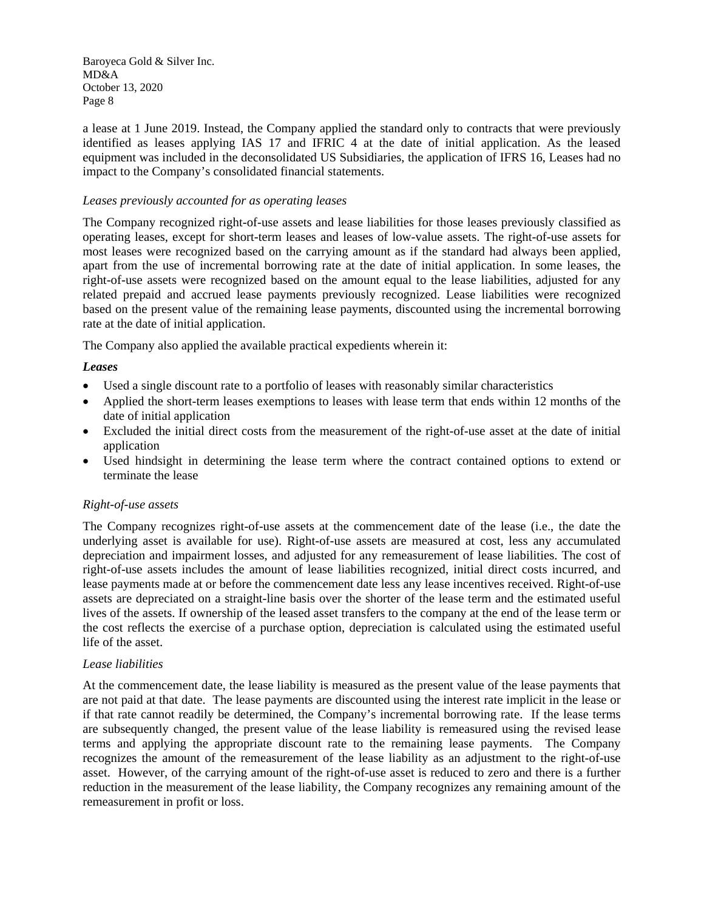a lease at 1 June 2019. Instead, the Company applied the standard only to contracts that were previously identified as leases applying IAS 17 and IFRIC 4 at the date of initial application. As the leased equipment was included in the deconsolidated US Subsidiaries, the application of IFRS 16, Leases had no impact to the Company's consolidated financial statements.

## *Leases previously accounted for as operating leases*

The Company recognized right-of-use assets and lease liabilities for those leases previously classified as operating leases, except for short-term leases and leases of low-value assets. The right-of-use assets for most leases were recognized based on the carrying amount as if the standard had always been applied, apart from the use of incremental borrowing rate at the date of initial application. In some leases, the right-of-use assets were recognized based on the amount equal to the lease liabilities, adjusted for any related prepaid and accrued lease payments previously recognized. Lease liabilities were recognized based on the present value of the remaining lease payments, discounted using the incremental borrowing rate at the date of initial application.

The Company also applied the available practical expedients wherein it:

## *Leases*

- Used a single discount rate to a portfolio of leases with reasonably similar characteristics
- Applied the short-term leases exemptions to leases with lease term that ends within 12 months of the date of initial application
- Excluded the initial direct costs from the measurement of the right-of-use asset at the date of initial application
- Used hindsight in determining the lease term where the contract contained options to extend or terminate the lease

#### *Right-of-use assets*

The Company recognizes right-of-use assets at the commencement date of the lease (i.e., the date the underlying asset is available for use). Right-of-use assets are measured at cost, less any accumulated depreciation and impairment losses, and adjusted for any remeasurement of lease liabilities. The cost of right-of-use assets includes the amount of lease liabilities recognized, initial direct costs incurred, and lease payments made at or before the commencement date less any lease incentives received. Right-of-use assets are depreciated on a straight-line basis over the shorter of the lease term and the estimated useful lives of the assets. If ownership of the leased asset transfers to the company at the end of the lease term or the cost reflects the exercise of a purchase option, depreciation is calculated using the estimated useful life of the asset.

#### *Lease liabilities*

At the commencement date, the lease liability is measured as the present value of the lease payments that are not paid at that date. The lease payments are discounted using the interest rate implicit in the lease or if that rate cannot readily be determined, the Company's incremental borrowing rate. If the lease terms are subsequently changed, the present value of the lease liability is remeasured using the revised lease terms and applying the appropriate discount rate to the remaining lease payments. The Company recognizes the amount of the remeasurement of the lease liability as an adjustment to the right-of-use asset. However, of the carrying amount of the right-of-use asset is reduced to zero and there is a further reduction in the measurement of the lease liability, the Company recognizes any remaining amount of the remeasurement in profit or loss.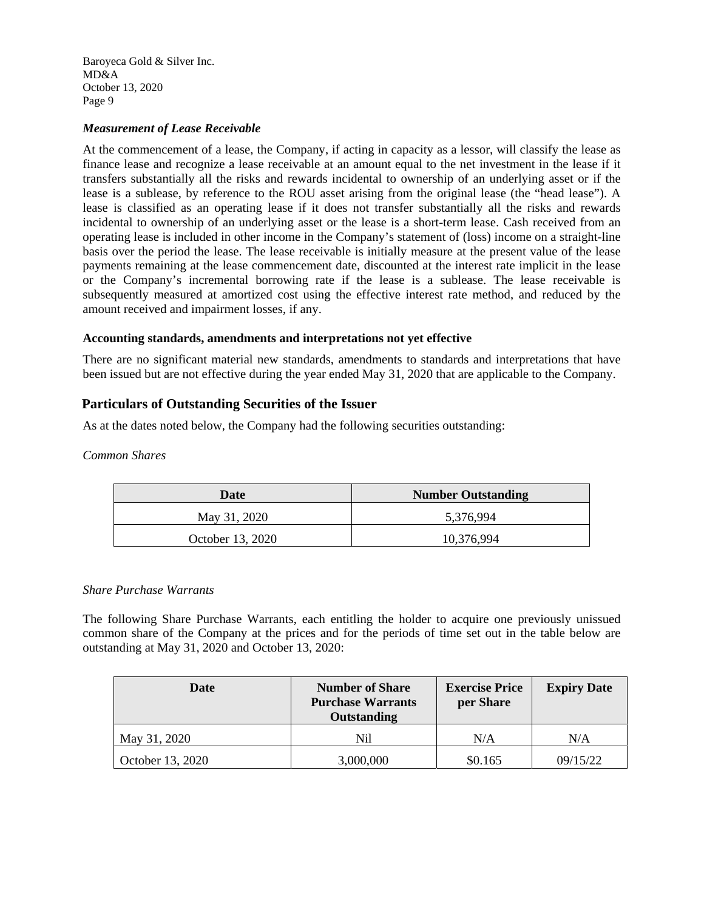## *Measurement of Lease Receivable*

At the commencement of a lease, the Company, if acting in capacity as a lessor, will classify the lease as finance lease and recognize a lease receivable at an amount equal to the net investment in the lease if it transfers substantially all the risks and rewards incidental to ownership of an underlying asset or if the lease is a sublease, by reference to the ROU asset arising from the original lease (the "head lease"). A lease is classified as an operating lease if it does not transfer substantially all the risks and rewards incidental to ownership of an underlying asset or the lease is a short-term lease. Cash received from an operating lease is included in other income in the Company's statement of (loss) income on a straight-line basis over the period the lease. The lease receivable is initially measure at the present value of the lease payments remaining at the lease commencement date, discounted at the interest rate implicit in the lease or the Company's incremental borrowing rate if the lease is a sublease. The lease receivable is subsequently measured at amortized cost using the effective interest rate method, and reduced by the amount received and impairment losses, if any.

## **Accounting standards, amendments and interpretations not yet effective**

There are no significant material new standards, amendments to standards and interpretations that have been issued but are not effective during the year ended May 31, 2020 that are applicable to the Company.

# **Particulars of Outstanding Securities of the Issuer**

As at the dates noted below, the Company had the following securities outstanding:

*Common Shares* 

| Date             | <b>Number Outstanding</b> |  |  |
|------------------|---------------------------|--|--|
| May 31, 2020     | 5,376,994                 |  |  |
| October 13, 2020 | 10,376,994                |  |  |

## *Share Purchase Warrants*

The following Share Purchase Warrants, each entitling the holder to acquire one previously unissued common share of the Company at the prices and for the periods of time set out in the table below are outstanding at May 31, 2020 and October 13, 2020:

| Date             | <b>Number of Share</b><br><b>Purchase Warrants</b><br>Outstanding | <b>Exercise Price</b><br>per Share | <b>Expiry Date</b> |
|------------------|-------------------------------------------------------------------|------------------------------------|--------------------|
| May 31, 2020     | Nil                                                               | N/A                                | N/A                |
| October 13, 2020 | 3,000,000                                                         | \$0.165                            | 09/15/22           |